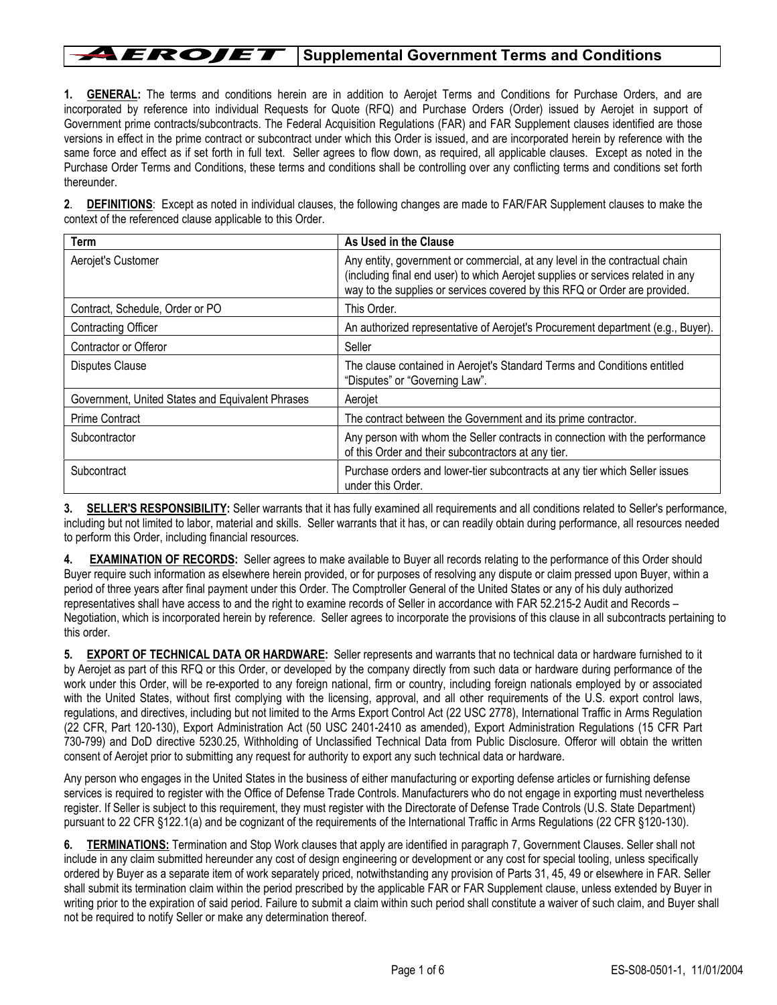## AEROJET **Supplemental Government Terms and Conditions**

**1. GENERAL:** The terms and conditions herein are in addition to Aerojet Terms and Conditions for Purchase Orders, and are incorporated by reference into individual Requests for Quote (RFQ) and Purchase Orders (Order) issued by Aerojet in support of Government prime contracts/subcontracts. The Federal Acquisition Regulations (FAR) and FAR Supplement clauses identified are those versions in effect in the prime contract or subcontract under which this Order is issued, and are incorporated herein by reference with the same force and effect as if set forth in full text. Seller agrees to flow down, as required, all applicable clauses. Except as noted in the Purchase Order Terms and Conditions, these terms and conditions shall be controlling over any conflicting terms and conditions set forth thereunder.

**2**. **DEFINITIONS**: Except as noted in individual clauses, the following changes are made to FAR/FAR Supplement clauses to make the context of the referenced clause applicable to this Order.

| Term                                             | As Used in the Clause                                                                                                                                                                                                                        |
|--------------------------------------------------|----------------------------------------------------------------------------------------------------------------------------------------------------------------------------------------------------------------------------------------------|
| Aerojet's Customer                               | Any entity, government or commercial, at any level in the contractual chain<br>(including final end user) to which Aerojet supplies or services related in any<br>way to the supplies or services covered by this RFQ or Order are provided. |
| Contract, Schedule, Order or PO                  | This Order.                                                                                                                                                                                                                                  |
| <b>Contracting Officer</b>                       | An authorized representative of Aerojet's Procurement department (e.g., Buyer).                                                                                                                                                              |
| Contractor or Offeror                            | Seller                                                                                                                                                                                                                                       |
| Disputes Clause                                  | The clause contained in Aerojet's Standard Terms and Conditions entitled<br>"Disputes" or "Governing Law".                                                                                                                                   |
| Government, United States and Equivalent Phrases | Aerojet                                                                                                                                                                                                                                      |
| <b>Prime Contract</b>                            | The contract between the Government and its prime contractor.                                                                                                                                                                                |
| Subcontractor                                    | Any person with whom the Seller contracts in connection with the performance<br>of this Order and their subcontractors at any tier.                                                                                                          |
| Subcontract                                      | Purchase orders and lower-tier subcontracts at any tier which Seller issues<br>under this Order.                                                                                                                                             |

**3. SELLER'S RESPONSIBILITY:** Seller warrants that it has fully examined all requirements and all conditions related to Seller's performance, including but not limited to labor, material and skills. Seller warrants that it has, or can readily obtain during performance, all resources needed to perform this Order, including financial resources.

**4. EXAMINATION OF RECORDS:** Seller agrees to make available to Buyer all records relating to the performance of this Order should Buyer require such information as elsewhere herein provided, or for purposes of resolving any dispute or claim pressed upon Buyer, within a period of three years after final payment under this Order. The Comptroller General of the United States or any of his duly authorized representatives shall have access to and the right to examine records of Seller in accordance with FAR 52.215-2 Audit and Records -Negotiation, which is incorporated herein by reference. Seller agrees to incorporate the provisions of this clause in all subcontracts pertaining to this order.

**5. EXPORT OF TECHNICAL DATA OR HARDWARE:** Seller represents and warrants that no technical data or hardware furnished to it by Aerojet as part of this RFQ or this Order, or developed by the company directly from such data or hardware during performance of the work under this Order, will be re-exported to any foreign national, firm or country, including foreign nationals employed by or associated with the United States, without first complying with the licensing, approval, and all other requirements of the U.S. export control laws, regulations, and directives, including but not limited to the Arms Export Control Act (22 USC 2778), International Traffic in Arms Regulation (22 CFR, Part 120-130), Export Administration Act (50 USC 2401-2410 as amended), Export Administration Regulations (15 CFR Part 730-799) and DoD directive 5230.25, Withholding of Unclassified Technical Data from Public Disclosure. Offeror will obtain the written consent of Aerojet prior to submitting any request for authority to export any such technical data or hardware.

Any person who engages in the United States in the business of either manufacturing or exporting defense articles or furnishing defense services is required to register with the Office of Defense Trade Controls. Manufacturers who do not engage in exporting must nevertheless register. If Seller is subject to this requirement, they must register with the Directorate of Defense Trade Controls (U.S. State Department) pursuant to 22 CFR §122.1(a) and be cognizant of the requirements of the International Traffic in Arms Regulations (22 CFR §120-130).

**6. TERMINATIONS:** Termination and Stop Work clauses that apply are identified in paragraph 7, Government Clauses. Seller shall not include in any claim submitted hereunder any cost of design engineering or development or any cost for special tooling, unless specifically ordered by Buyer as a separate item of work separately priced, notwithstanding any provision of Parts 31, 45, 49 or elsewhere in FAR. Seller shall submit its termination claim within the period prescribed by the applicable FAR or FAR Supplement clause, unless extended by Buyer in writing prior to the expiration of said period. Failure to submit a claim within such period shall constitute a waiver of such claim, and Buyer shall not be required to notify Seller or make any determination thereof.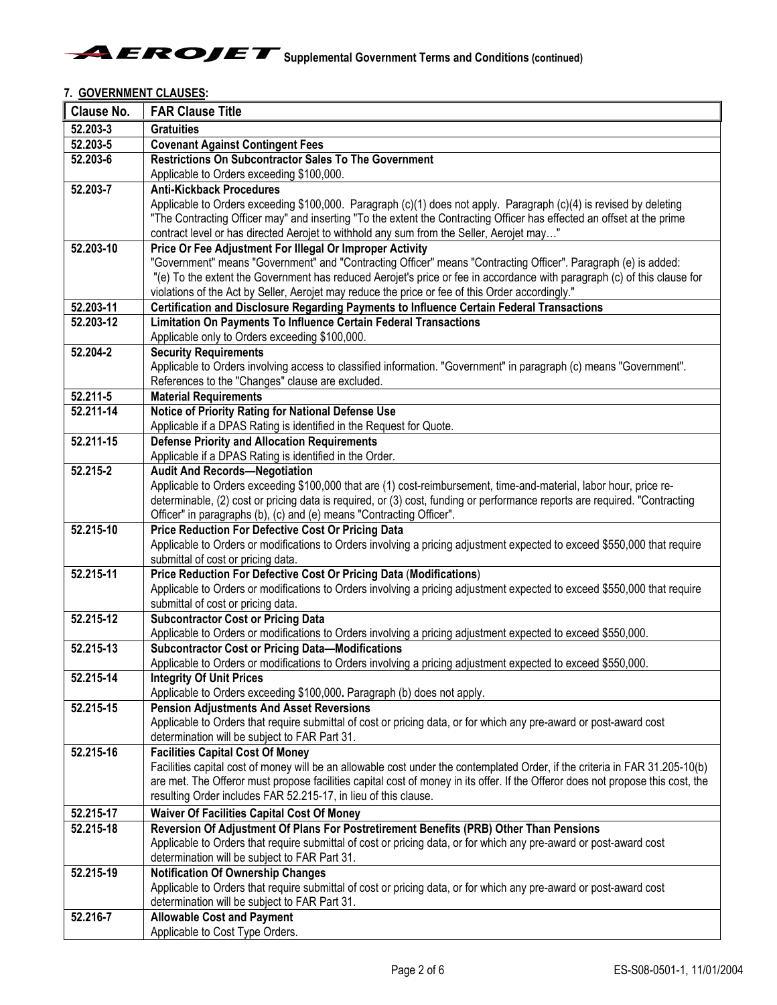## **7. GOVERNMENT CLAUSES:**

| <b>Clause No.</b> | <b>FAR Clause Title</b>                                                                                                                                                                                                      |
|-------------------|------------------------------------------------------------------------------------------------------------------------------------------------------------------------------------------------------------------------------|
| 52.203-3          | <b>Gratuities</b>                                                                                                                                                                                                            |
| 52.203-5          | <b>Covenant Against Contingent Fees</b>                                                                                                                                                                                      |
| 52.203-6          | <b>Restrictions On Subcontractor Sales To The Government</b>                                                                                                                                                                 |
|                   | Applicable to Orders exceeding \$100,000.                                                                                                                                                                                    |
| 52.203-7          | <b>Anti-Kickback Procedures</b>                                                                                                                                                                                              |
|                   | Applicable to Orders exceeding \$100,000. Paragraph (c)(1) does not apply. Paragraph (c)(4) is revised by deleting                                                                                                           |
|                   | "The Contracting Officer may" and inserting "To the extent the Contracting Officer has effected an offset at the prime                                                                                                       |
|                   | contract level or has directed Aerojet to withhold any sum from the Seller, Aerojet may"                                                                                                                                     |
| 52.203-10         | Price Or Fee Adjustment For Illegal Or Improper Activity                                                                                                                                                                     |
|                   | "Government" means "Government" and "Contracting Officer" means "Contracting Officer". Paragraph (e) is added:                                                                                                               |
|                   | "(e) To the extent the Government has reduced Aerojet's price or fee in accordance with paragraph (c) of this clause for<br>violations of the Act by Seller, Aerojet may reduce the price or fee of this Order accordingly." |
| 52.203-11         | Certification and Disclosure Regarding Payments to Influence Certain Federal Transactions                                                                                                                                    |
| 52.203-12         | Limitation On Payments To Influence Certain Federal Transactions                                                                                                                                                             |
|                   | Applicable only to Orders exceeding \$100,000.                                                                                                                                                                               |
| 52.204-2          | <b>Security Requirements</b>                                                                                                                                                                                                 |
|                   | Applicable to Orders involving access to classified information. "Government" in paragraph (c) means "Government".                                                                                                           |
|                   | References to the "Changes" clause are excluded.                                                                                                                                                                             |
| $52.211 - 5$      | <b>Material Requirements</b>                                                                                                                                                                                                 |
| 52.211-14         | Notice of Priority Rating for National Defense Use                                                                                                                                                                           |
|                   | Applicable if a DPAS Rating is identified in the Request for Quote.                                                                                                                                                          |
| 52.211-15         | <b>Defense Priority and Allocation Requirements</b>                                                                                                                                                                          |
|                   | Applicable if a DPAS Rating is identified in the Order.                                                                                                                                                                      |
| 52.215-2          | <b>Audit And Records-Negotiation</b>                                                                                                                                                                                         |
|                   | Applicable to Orders exceeding \$100,000 that are (1) cost-reimbursement, time-and-material, labor hour, price re-                                                                                                           |
|                   | determinable, (2) cost or pricing data is required, or (3) cost, funding or performance reports are required. "Contracting                                                                                                   |
|                   | Officer" in paragraphs (b), (c) and (e) means "Contracting Officer".                                                                                                                                                         |
| 52.215-10         | Price Reduction For Defective Cost Or Pricing Data<br>Applicable to Orders or modifications to Orders involving a pricing adjustment expected to exceed \$550,000 that require                                               |
|                   | submittal of cost or pricing data.                                                                                                                                                                                           |
| 52.215-11         | Price Reduction For Defective Cost Or Pricing Data (Modifications)                                                                                                                                                           |
|                   | Applicable to Orders or modifications to Orders involving a pricing adjustment expected to exceed \$550,000 that require                                                                                                     |
|                   | submittal of cost or pricing data.                                                                                                                                                                                           |
| 52.215-12         | <b>Subcontractor Cost or Pricing Data</b>                                                                                                                                                                                    |
|                   | Applicable to Orders or modifications to Orders involving a pricing adjustment expected to exceed \$550,000.                                                                                                                 |
| 52.215-13         | <b>Subcontractor Cost or Pricing Data-Modifications</b>                                                                                                                                                                      |
|                   | Applicable to Orders or modifications to Orders involving a pricing adjustment expected to exceed \$550,000.                                                                                                                 |
| 52.215-14         | <b>Integrity Of Unit Prices</b>                                                                                                                                                                                              |
|                   | Applicable to Orders exceeding \$100,000. Paragraph (b) does not apply.                                                                                                                                                      |
| 52.215-15         | <b>Pension Adjustments And Asset Reversions</b>                                                                                                                                                                              |
|                   | Applicable to Orders that require submittal of cost or pricing data, or for which any pre-award or post-award cost<br>determination will be subject to FAR Part 31.                                                          |
| 52.215-16         | <b>Facilities Capital Cost Of Money</b>                                                                                                                                                                                      |
|                   | Facilities capital cost of money will be an allowable cost under the contemplated Order, if the criteria in FAR 31.205-10(b)                                                                                                 |
|                   | are met. The Offeror must propose facilities capital cost of money in its offer. If the Offeror does not propose this cost, the                                                                                              |
|                   | resulting Order includes FAR 52.215-17, in lieu of this clause.                                                                                                                                                              |
| 52.215-17         | <b>Waiver Of Facilities Capital Cost Of Money</b>                                                                                                                                                                            |
| 52.215-18         | Reversion Of Adjustment Of Plans For Postretirement Benefits (PRB) Other Than Pensions                                                                                                                                       |
|                   | Applicable to Orders that require submittal of cost or pricing data, or for which any pre-award or post-award cost                                                                                                           |
|                   | determination will be subject to FAR Part 31.                                                                                                                                                                                |
| 52.215-19         | <b>Notification Of Ownership Changes</b>                                                                                                                                                                                     |
|                   | Applicable to Orders that require submittal of cost or pricing data, or for which any pre-award or post-award cost                                                                                                           |
|                   | determination will be subject to FAR Part 31.                                                                                                                                                                                |
| 52.216-7          | <b>Allowable Cost and Payment</b>                                                                                                                                                                                            |
|                   | Applicable to Cost Type Orders.                                                                                                                                                                                              |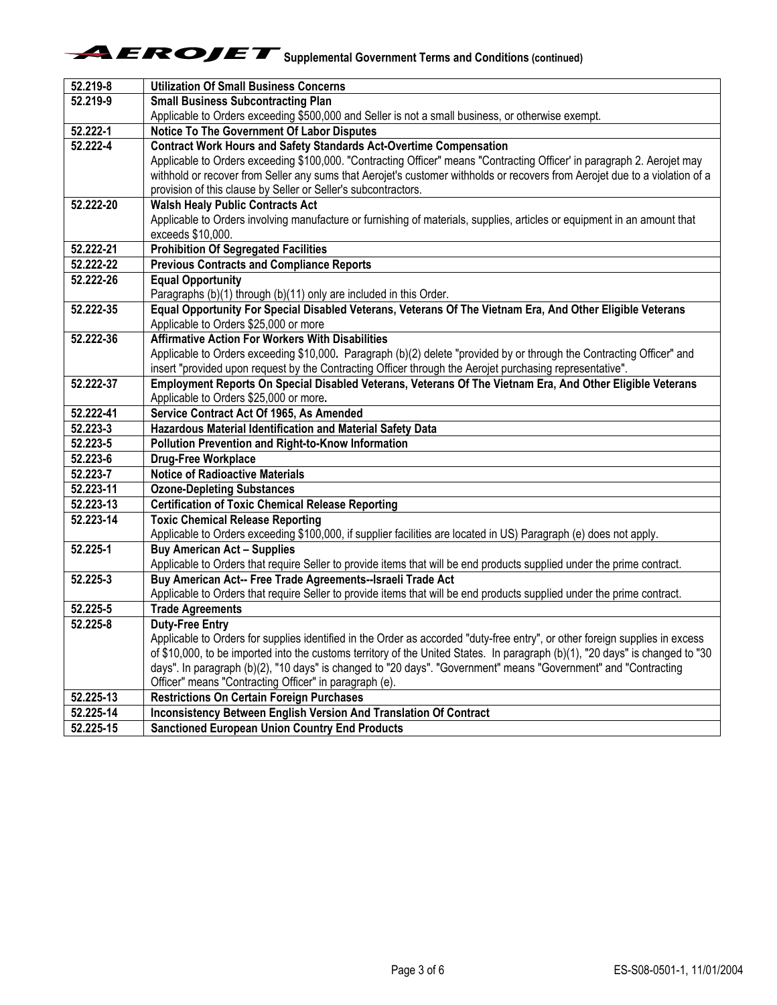| 52.219-8              | <b>Utilization Of Small Business Concerns</b>                                                                                 |
|-----------------------|-------------------------------------------------------------------------------------------------------------------------------|
| 52.219-9              | <b>Small Business Subcontracting Plan</b>                                                                                     |
|                       | Applicable to Orders exceeding \$500,000 and Seller is not a small business, or otherwise exempt.                             |
| 52.222-1              | <b>Notice To The Government Of Labor Disputes</b>                                                                             |
| 52.222-4              | <b>Contract Work Hours and Safety Standards Act-Overtime Compensation</b>                                                     |
|                       | Applicable to Orders exceeding \$100,000. "Contracting Officer" means "Contracting Officer' in paragraph 2. Aerojet may       |
|                       | withhold or recover from Seller any sums that Aerojet's customer withholds or recovers from Aerojet due to a violation of a   |
|                       | provision of this clause by Seller or Seller's subcontractors.                                                                |
| 52.222-20             | <b>Walsh Healy Public Contracts Act</b>                                                                                       |
|                       | Applicable to Orders involving manufacture or furnishing of materials, supplies, articles or equipment in an amount that      |
|                       | exceeds \$10,000.                                                                                                             |
| 52.222-21             | <b>Prohibition Of Segregated Facilities</b>                                                                                   |
| 52.222-22             | <b>Previous Contracts and Compliance Reports</b>                                                                              |
| 52.222-26             | <b>Equal Opportunity</b>                                                                                                      |
|                       | Paragraphs (b)(1) through (b)(11) only are included in this Order.                                                            |
| 52.222-35             | Equal Opportunity For Special Disabled Veterans, Veterans Of The Vietnam Era, And Other Eligible Veterans                     |
|                       | Applicable to Orders \$25,000 or more                                                                                         |
| 52.222-36             | <b>Affirmative Action For Workers With Disabilities</b>                                                                       |
|                       | Applicable to Orders exceeding \$10,000. Paragraph (b)(2) delete "provided by or through the Contracting Officer" and         |
|                       | insert "provided upon request by the Contracting Officer through the Aerojet purchasing representative".                      |
| 52.222-37             | Employment Reports On Special Disabled Veterans, Veterans Of The Vietnam Era, And Other Eligible Veterans                     |
|                       | Applicable to Orders \$25,000 or more.                                                                                        |
| 52.222-41<br>52.223-3 | Service Contract Act Of 1965, As Amended                                                                                      |
| 52.223-5              | Hazardous Material Identification and Material Safety Data<br>Pollution Prevention and Right-to-Know Information              |
| 52.223-6              | Drug-Free Workplace                                                                                                           |
| 52.223-7              | <b>Notice of Radioactive Materials</b>                                                                                        |
| 52.223-11             | <b>Ozone-Depleting Substances</b>                                                                                             |
| 52.223-13             | <b>Certification of Toxic Chemical Release Reporting</b>                                                                      |
| 52.223-14             | <b>Toxic Chemical Release Reporting</b>                                                                                       |
|                       | Applicable to Orders exceeding \$100,000, if supplier facilities are located in US) Paragraph (e) does not apply.             |
| 52.225-1              | <b>Buy American Act - Supplies</b>                                                                                            |
|                       | Applicable to Orders that require Seller to provide items that will be end products supplied under the prime contract.        |
| 52.225-3              | Buy American Act-- Free Trade Agreements--Israeli Trade Act                                                                   |
|                       | Applicable to Orders that require Seller to provide items that will be end products supplied under the prime contract.        |
| 52.225-5              | <b>Trade Agreements</b>                                                                                                       |
| 52.225-8              | <b>Duty-Free Entry</b>                                                                                                        |
|                       | Applicable to Orders for supplies identified in the Order as accorded "duty-free entry", or other foreign supplies in excess  |
|                       | of \$10,000, to be imported into the customs territory of the United States. In paragraph (b)(1), "20 days" is changed to "30 |
|                       | days". In paragraph (b)(2), "10 days" is changed to "20 days". "Government" means "Government" and "Contracting               |
|                       | Officer" means "Contracting Officer" in paragraph (e).                                                                        |
| 52.225-13             | <b>Restrictions On Certain Foreign Purchases</b>                                                                              |
| 52.225-14             | Inconsistency Between English Version And Translation Of Contract                                                             |
| 52.225-15             | <b>Sanctioned European Union Country End Products</b>                                                                         |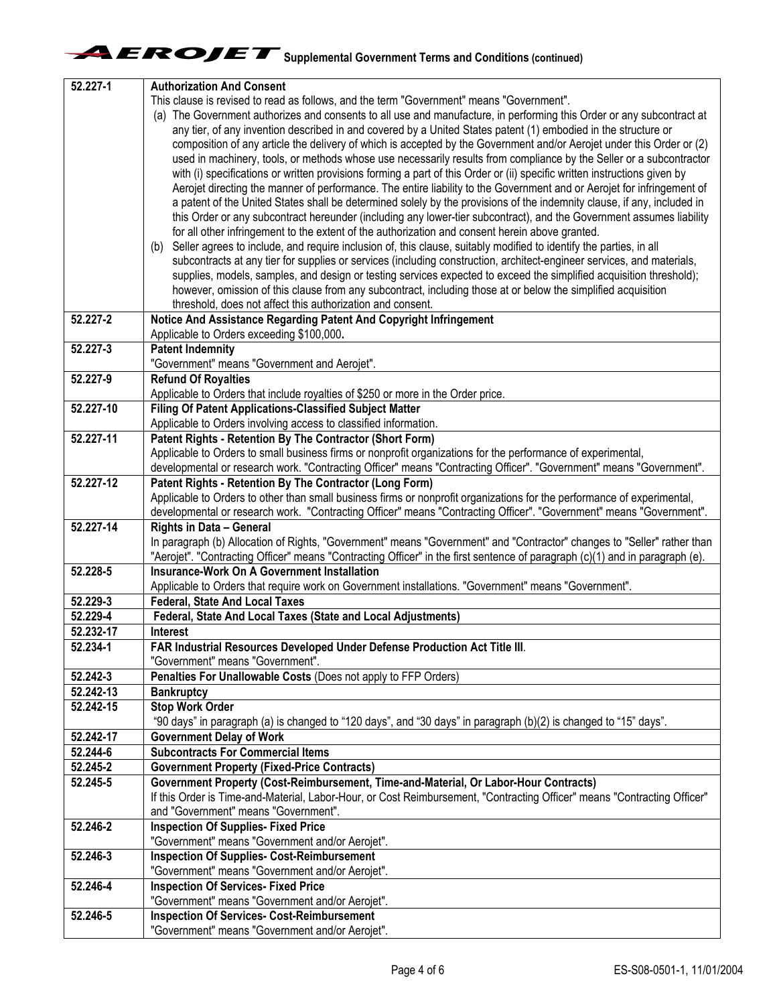## **EROJET** Supplemental Government Terms and Conditions (continued)

| 52.227-1  | <b>Authorization And Consent</b>                                                                                             |
|-----------|------------------------------------------------------------------------------------------------------------------------------|
|           | This clause is revised to read as follows, and the term "Government" means "Government".                                     |
|           | (a) The Government authorizes and consents to all use and manufacture, in performing this Order or any subcontract at        |
|           | any tier, of any invention described in and covered by a United States patent (1) embodied in the structure or               |
|           | composition of any article the delivery of which is accepted by the Government and/or Aerojet under this Order or (2)        |
|           | used in machinery, tools, or methods whose use necessarily results from compliance by the Seller or a subcontractor          |
|           |                                                                                                                              |
|           | with (i) specifications or written provisions forming a part of this Order or (ii) specific written instructions given by    |
|           | Aerojet directing the manner of performance. The entire liability to the Government and or Aerojet for infringement of       |
|           | a patent of the United States shall be determined solely by the provisions of the indemnity clause, if any, included in      |
|           | this Order or any subcontract hereunder (including any lower-tier subcontract), and the Government assumes liability         |
|           | for all other infringement to the extent of the authorization and consent herein above granted.                              |
|           | (b) Seller agrees to include, and require inclusion of, this clause, suitably modified to identify the parties, in all       |
|           | subcontracts at any tier for supplies or services (including construction, architect-engineer services, and materials,       |
|           | supplies, models, samples, and design or testing services expected to exceed the simplified acquisition threshold);          |
|           | however, omission of this clause from any subcontract, including those at or below the simplified acquisition                |
|           | threshold, does not affect this authorization and consent.                                                                   |
| 52.227-2  | Notice And Assistance Regarding Patent And Copyright Infringement                                                            |
|           | Applicable to Orders exceeding \$100,000.                                                                                    |
| 52.227-3  | <b>Patent Indemnity</b>                                                                                                      |
|           | "Government" means "Government and Aerojet".                                                                                 |
| 52.227-9  | <b>Refund Of Royalties</b>                                                                                                   |
|           | Applicable to Orders that include royalties of \$250 or more in the Order price.                                             |
| 52.227-10 | Filing Of Patent Applications-Classified Subject Matter                                                                      |
|           | Applicable to Orders involving access to classified information.                                                             |
| 52.227-11 | Patent Rights - Retention By The Contractor (Short Form)                                                                     |
|           | Applicable to Orders to small business firms or nonprofit organizations for the performance of experimental,                 |
|           | developmental or research work. "Contracting Officer" means "Contracting Officer". "Government" means "Government".          |
| 52.227-12 | Patent Rights - Retention By The Contractor (Long Form)                                                                      |
|           | Applicable to Orders to other than small business firms or nonprofit organizations for the performance of experimental,      |
|           | developmental or research work. "Contracting Officer" means "Contracting Officer". "Government" means "Government".          |
| 52.227-14 | Rights in Data - General                                                                                                     |
|           | In paragraph (b) Allocation of Rights, "Government" means "Government" and "Contractor" changes to "Seller" rather than      |
|           | "Aerojet". "Contracting Officer" means "Contracting Officer" in the first sentence of paragraph (c)(1) and in paragraph (e). |
| 52.228-5  | <b>Insurance-Work On A Government Installation</b>                                                                           |
|           | Applicable to Orders that require work on Government installations. "Government" means "Government".                         |
| 52.229-3  | <b>Federal, State And Local Taxes</b>                                                                                        |
| 52.229-4  | Federal, State And Local Taxes (State and Local Adjustments)                                                                 |
| 52.232-17 | <b>Interest</b>                                                                                                              |
| 52.234-1  | FAR Industrial Resources Developed Under Defense Production Act Title III.                                                   |
|           | "Government" means "Government".                                                                                             |
| 52.242-3  | Penalties For Unallowable Costs (Does not apply to FFP Orders)                                                               |
| 52.242-13 | <b>Bankruptcy</b>                                                                                                            |
| 52.242-15 | <b>Stop Work Order</b>                                                                                                       |
|           | "90 days" in paragraph (a) is changed to "120 days", and "30 days" in paragraph (b)(2) is changed to "15" days".             |
| 52.242-17 | <b>Government Delay of Work</b>                                                                                              |
| 52.244-6  | <b>Subcontracts For Commercial Items</b>                                                                                     |
| 52.245-2  | <b>Government Property (Fixed-Price Contracts)</b>                                                                           |
| 52.245-5  | Government Property (Cost-Reimbursement, Time-and-Material, Or Labor-Hour Contracts)                                         |
|           | If this Order is Time-and-Material, Labor-Hour, or Cost Reimbursement, "Contracting Officer" means "Contracting Officer"     |
|           | and "Government" means "Government".                                                                                         |
| 52.246-2  | <b>Inspection Of Supplies- Fixed Price</b>                                                                                   |
|           | "Government" means "Government and/or Aerojet".                                                                              |
| 52.246-3  | <b>Inspection Of Supplies- Cost-Reimbursement</b>                                                                            |
|           | "Government" means "Government and/or Aerojet".                                                                              |
| 52.246-4  | <b>Inspection Of Services- Fixed Price</b>                                                                                   |
| 52.246-5  | "Government" means "Government and/or Aerojet".<br><b>Inspection Of Services- Cost-Reimbursement</b>                         |
|           | "Government" means "Government and/or Aerojet".                                                                              |
|           |                                                                                                                              |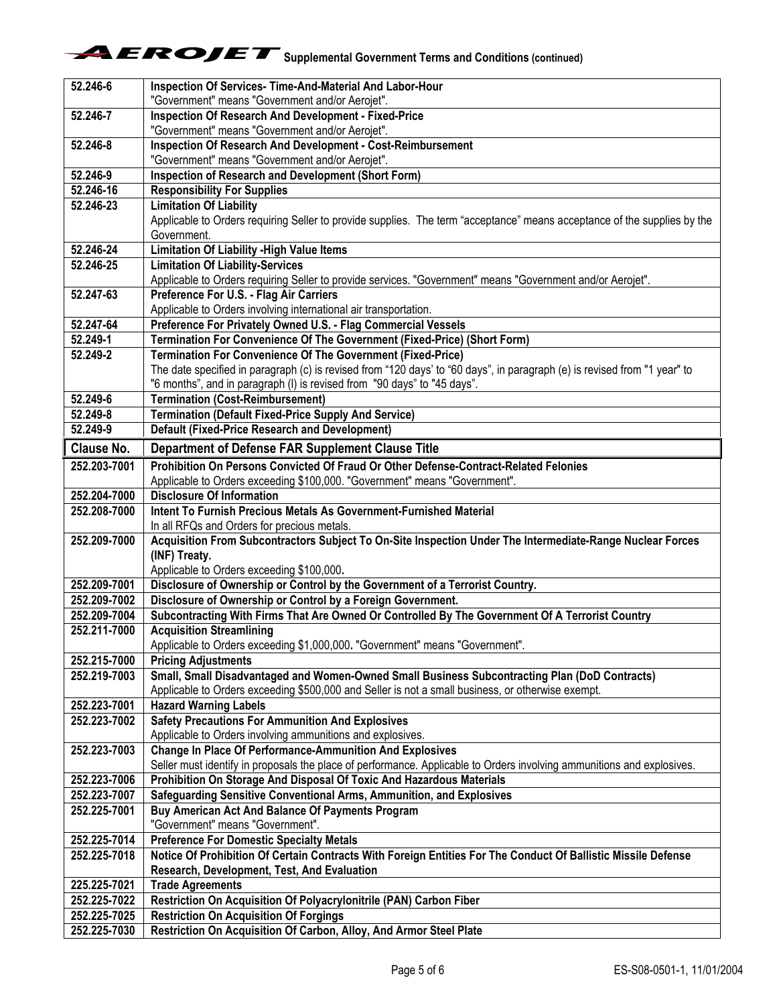| 52.246-6          | Inspection Of Services- Time-And-Material And Labor-Hour                                                                                                                                  |
|-------------------|-------------------------------------------------------------------------------------------------------------------------------------------------------------------------------------------|
|                   | "Government" means "Government and/or Aerojet".                                                                                                                                           |
| 52.246-7          | <b>Inspection Of Research And Development - Fixed-Price</b>                                                                                                                               |
|                   | "Government" means "Government and/or Aerojet".                                                                                                                                           |
| 52.246-8          | <b>Inspection Of Research And Development - Cost-Reimbursement</b>                                                                                                                        |
|                   | "Government" means "Government and/or Aerojet".                                                                                                                                           |
| 52.246-9          | Inspection of Research and Development (Short Form)                                                                                                                                       |
| 52.246-16         | <b>Responsibility For Supplies</b>                                                                                                                                                        |
| 52.246-23         | <b>Limitation Of Liability</b>                                                                                                                                                            |
|                   | Applicable to Orders requiring Seller to provide supplies. The term "acceptance" means acceptance of the supplies by the<br>Government.                                                   |
| 52.246-24         | <b>Limitation Of Liability - High Value Items</b>                                                                                                                                         |
| 52.246-25         | <b>Limitation Of Liability-Services</b>                                                                                                                                                   |
|                   | Applicable to Orders requiring Seller to provide services. "Government" means "Government and/or Aerojet".                                                                                |
| 52.247-63         | Preference For U.S. - Flag Air Carriers                                                                                                                                                   |
|                   | Applicable to Orders involving international air transportation.                                                                                                                          |
| 52.247-64         | Preference For Privately Owned U.S. - Flag Commercial Vessels                                                                                                                             |
| 52.249-1          | Termination For Convenience Of The Government (Fixed-Price) (Short Form)                                                                                                                  |
| 52.249-2          | <b>Termination For Convenience Of The Government (Fixed-Price)</b>                                                                                                                        |
|                   | The date specified in paragraph (c) is revised from "120 days' to "60 days", in paragraph (e) is revised from "1 year" to                                                                 |
|                   | "6 months", and in paragraph (I) is revised from "90 days" to "45 days".                                                                                                                  |
| 52.249-6          | <b>Termination (Cost-Reimbursement)</b>                                                                                                                                                   |
| 52.249-8          | <b>Termination (Default Fixed-Price Supply And Service)</b>                                                                                                                               |
| 52.249-9          | <b>Default (Fixed-Price Research and Development)</b>                                                                                                                                     |
| <b>Clause No.</b> | Department of Defense FAR Supplement Clause Title                                                                                                                                         |
| 252.203-7001      | Prohibition On Persons Convicted Of Fraud Or Other Defense-Contract-Related Felonies                                                                                                      |
|                   | Applicable to Orders exceeding \$100,000. "Government" means "Government".                                                                                                                |
| 252.204-7000      | <b>Disclosure Of Information</b>                                                                                                                                                          |
| 252.208-7000      | Intent To Furnish Precious Metals As Government-Furnished Material                                                                                                                        |
| 252.209-7000      | In all RFQs and Orders for precious metals.<br>Acquisition From Subcontractors Subject To On-Site Inspection Under The Intermediate-Range Nuclear Forces                                  |
|                   | (INF) Treaty.                                                                                                                                                                             |
|                   | Applicable to Orders exceeding \$100,000.                                                                                                                                                 |
| 252.209-7001      | Disclosure of Ownership or Control by the Government of a Terrorist Country.                                                                                                              |
| 252.209-7002      | Disclosure of Ownership or Control by a Foreign Government.                                                                                                                               |
| 252.209-7004      | Subcontracting With Firms That Are Owned Or Controlled By The Government Of A Terrorist Country                                                                                           |
| 252.211-7000      | <b>Acquisition Streamlining</b>                                                                                                                                                           |
|                   | Applicable to Orders exceeding \$1,000,000. "Government" means "Government".                                                                                                              |
| 252.215-7000      | <b>Pricing Adjustments</b>                                                                                                                                                                |
| 252.219-7003      | Small, Small Disadvantaged and Women-Owned Small Business Subcontracting Plan (DoD Contracts)                                                                                             |
|                   | Applicable to Orders exceeding \$500,000 and Seller is not a small business, or otherwise exempt.                                                                                         |
| 252.223-7001      | <b>Hazard Warning Labels</b>                                                                                                                                                              |
| 252.223-7002      | <b>Safety Precautions For Ammunition And Explosives</b>                                                                                                                                   |
|                   | Applicable to Orders involving ammunitions and explosives.                                                                                                                                |
| 252.223-7003      | <b>Change In Place Of Performance-Ammunition And Explosives</b><br>Seller must identify in proposals the place of performance. Applicable to Orders involving ammunitions and explosives. |
| 252.223-7006      | Prohibition On Storage And Disposal Of Toxic And Hazardous Materials                                                                                                                      |
| 252.223-7007      | Safeguarding Sensitive Conventional Arms, Ammunition, and Explosives                                                                                                                      |
| 252.225-7001      | Buy American Act And Balance Of Payments Program                                                                                                                                          |
|                   | "Government" means "Government".                                                                                                                                                          |
| 252.225-7014      | <b>Preference For Domestic Specialty Metals</b>                                                                                                                                           |
| 252.225-7018      | Notice Of Prohibition Of Certain Contracts With Foreign Entities For The Conduct Of Ballistic Missile Defense                                                                             |
|                   | Research, Development, Test, And Evaluation                                                                                                                                               |
| 225.225-7021      | <b>Trade Agreements</b>                                                                                                                                                                   |
| 252.225-7022      | Restriction On Acquisition Of Polyacrylonitrile (PAN) Carbon Fiber                                                                                                                        |
| 252.225-7025      | <b>Restriction On Acquisition Of Forgings</b>                                                                                                                                             |
| 252.225-7030      | Restriction On Acquisition Of Carbon, Alloy, And Armor Steel Plate                                                                                                                        |